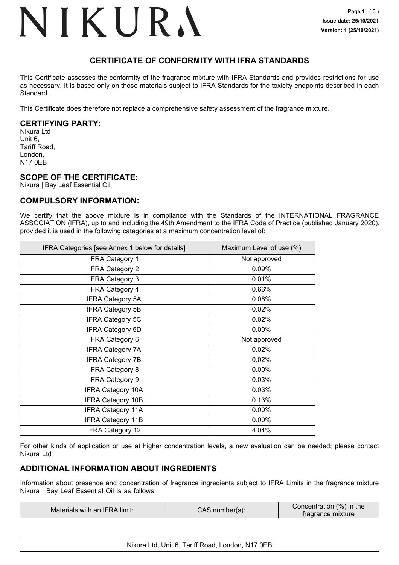### NIKURA

### **CERTIFICATE OF CONFORMITY WITH IFRA STANDARDS**

This Certificate assesses the conformity of the fragrance mixture with IFRA Standards and provides restrictions for use as necessary. It is based only on those materials subject to IFRA Standards for the toxicity endpoints described in each Standard.

This Certificate does therefore not replace a comprehensive safety assessment of the fragrance mixture.

### **CERTIFYING PARTY:**

Nikura Ltd Unit 6, Tariff Road, London, N17 0EB

### **SCOPE OF THE CERTIFICATE:**

Nikura | Bay Leaf Essential Oil

### **COMPULSORY INFORMATION:**

We certify that the above mixture is in compliance with the Standards of the INTERNATIONAL FRAGRANCE ASSOCIATION (IFRA), up to and including the 49th Amendment to the IFRA Code of Practice (published January 2020), provided it is used in the following categories at a maximum concentration level of:

| IFRA Categories [see Annex 1 below for details] | Maximum Level of use (%) |
|-------------------------------------------------|--------------------------|
| <b>IFRA Category 1</b>                          | Not approved             |
| <b>IFRA Category 2</b>                          | 0.09%                    |
| <b>IFRA Category 3</b>                          | 0.01%                    |
| <b>IFRA Category 4</b>                          | 0.66%                    |
| <b>IFRA Category 5A</b>                         | 0.08%                    |
| <b>IFRA Category 5B</b>                         | 0.02%                    |
| <b>IFRA Category 5C</b>                         | 0.02%                    |
| <b>IFRA Category 5D</b>                         | 0.00%                    |
| <b>IFRA Category 6</b>                          | Not approved             |
| <b>IFRA Category 7A</b>                         | 0.02%                    |
| <b>IFRA Category 7B</b>                         | 0.02%                    |
| <b>IFRA Category 8</b>                          | $0.00\%$                 |
| <b>IFRA Category 9</b>                          | 0.03%                    |
| <b>IFRA Category 10A</b>                        | 0.03%                    |
| <b>IFRA Category 10B</b>                        | 0.13%                    |
| <b>IFRA Category 11A</b>                        | $0.00\%$                 |
| <b>IFRA Category 11B</b>                        | $0.00\%$                 |
| <b>IFRA Category 12</b>                         | 4.04%                    |

For other kinds of application or use at higher concentration levels, a new evaluation can be needed; please contact Nikura Ltd

### **ADDITIONAL INFORMATION ABOUT INGREDIENTS**

Information about presence and concentration of fragrance ingredients subject to IFRA Limits in the fragrance mixture Nikura | Bay Leaf Essential Oil is as follows:

| Materials with an IFRA limit: | CAS number(s): | Concentration (%) in the<br>tradrance mixture |
|-------------------------------|----------------|-----------------------------------------------|
|-------------------------------|----------------|-----------------------------------------------|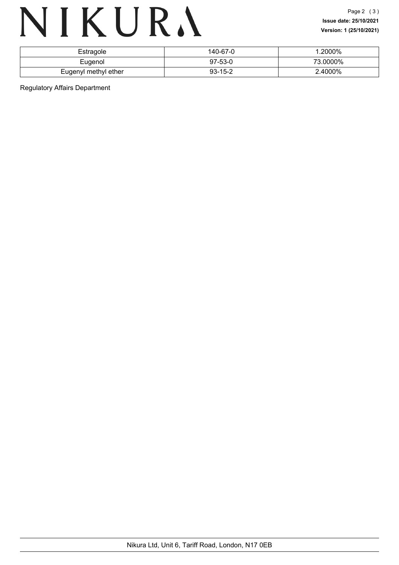## NIKURA

| Estragole            | 140-67-0      | .2000%   |
|----------------------|---------------|----------|
| Eugenol              | $97-53-0$     | 73.0000% |
| Eugenyl methyl ether | $93 - 15 - 2$ | 2.4000%  |

Regulatory Affairs Department